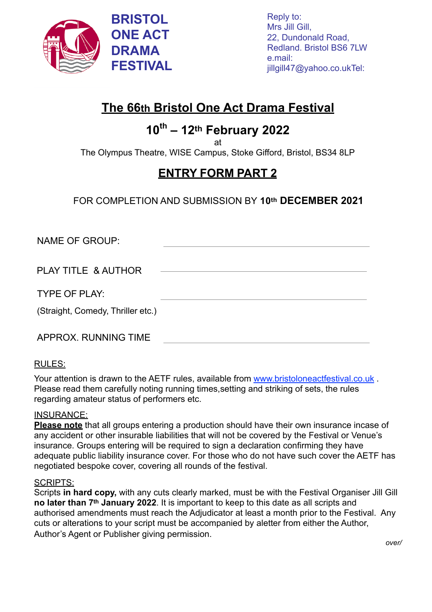

# **The 66th Bristol One Act Drama Festival**

# **10th – 12th February 2022**

at

The Olympus Theatre, WISE Campus, Stoke Gifford, Bristol, BS34 8LP

## **ENTRY FORM PART 2**

FOR COMPLETION AND SUBMISSION BY **10th DECEMBER 2021** 

| NAME OF GROUP:                                            |  |
|-----------------------------------------------------------|--|
| <b>PLAY TITLE &amp; AUTHOR</b>                            |  |
| <b>TYPE OF PLAY:</b><br>(Straight, Comedy, Thriller etc.) |  |
| APPROX, RUNNING TIME                                      |  |

#### RULES:

Your attention is drawn to the AETF rules, available from [www.bristoloneactfestival.co.uk](http://www.bristoloneactfestival.co.uk/). Please read them carefully noting running times,setting and striking of sets, the rules regarding amateur status of performers etc.

#### INSURANCE:

**Please note** that all groups entering a production should have their own insurance incase of any accident or other insurable liabilities that will not be covered by the Festival or Venue's insurance. Groups entering will be required to sign a declaration confirming they have adequate public liability insurance cover. For those who do not have such cover the AETF has negotiated bespoke cover, covering all rounds of the festival.

#### SCRIPTS:

Scripts **in hard copy,** with any cuts clearly marked, must be with the Festival Organiser Jill Gill **no later than 7th January 2022**. It is important to keep to this date as all scripts and authorised amendments must reach the Adjudicator at least a month prior to the Festival. Any cuts or alterations to your script must be accompanied by aletter from either the Author, Author's Agent or Publisher giving permission.